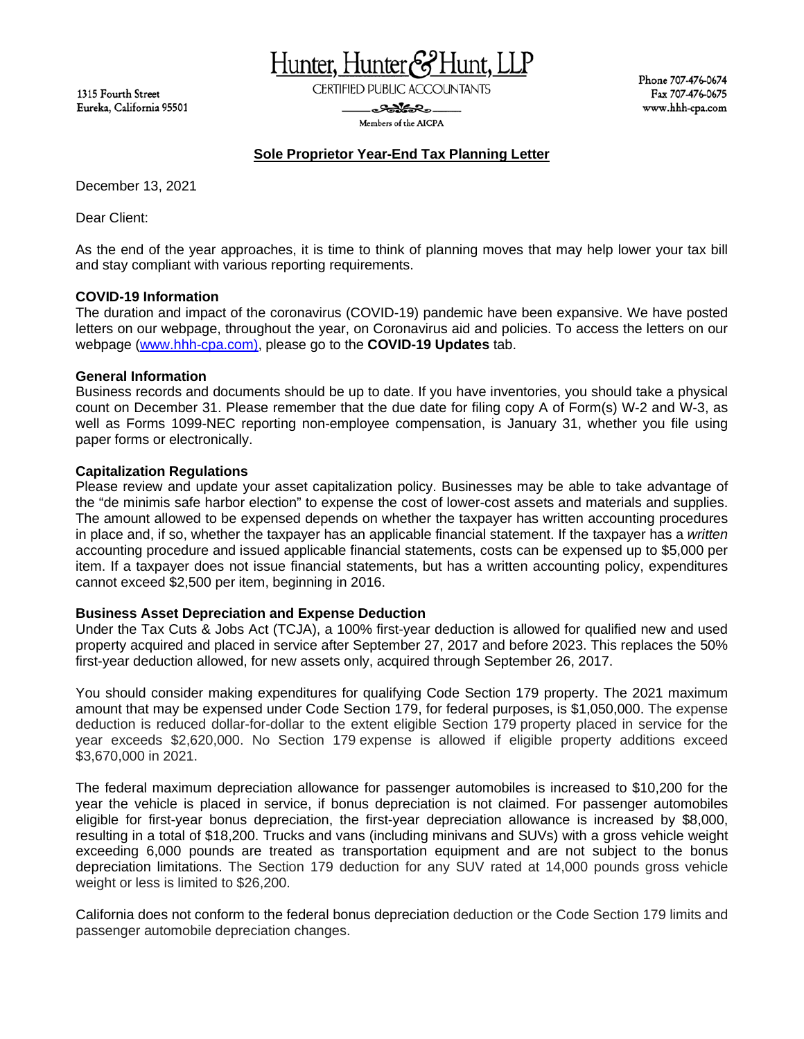1315 Fourth Street Eureka, California 95501 Hunter, Hunter&Hunt, LLP

**CERTIFIED PUBLIC ACCOUNTANTS** 

<del>ಿಂ</del>ಯೋನಿಂ-Members of the AICPA Phone 707-476-0674 Fax 707-476-0675 www.hhh-cpa.com

# **Sole Proprietor Year-End Tax Planning Letter**

December 13, 2021

Dear Client:

As the end of the year approaches, it is time to think of planning moves that may help lower your tax bill and stay compliant with various reporting requirements.

## **COVID-19 Information**

The duration and impact of the coronavirus (COVID-19) pandemic have been expansive. We have posted letters on our webpage, throughout the year, on Coronavirus aid and policies. To access the letters on our webpage [\(www.hhh-cpa.com\)](http://www.hhh-cpa.com/), please go to the **COVID-19 Updates** tab.

## **General Information**

Business records and documents should be up to date. If you have inventories, you should take a physical count on December 31. Please remember that the due date for filing copy A of Form(s) W-2 and W-3, as well as Forms 1099-NEC reporting non-employee compensation, is January 31, whether you file using paper forms or electronically.

#### **Capitalization Regulations**

Please review and update your asset capitalization policy. Businesses may be able to take advantage of the "de minimis safe harbor election" to expense the cost of lower-cost assets and materials and supplies. The amount allowed to be expensed depends on whether the taxpayer has written accounting procedures in place and, if so, whether the taxpayer has an applicable financial statement. If the taxpayer has a *written* accounting procedure and issued applicable financial statements, costs can be expensed up to \$5,000 per item. If a taxpayer does not issue financial statements, but has a written accounting policy, expenditures cannot exceed \$2,500 per item, beginning in 2016.

## **Business Asset Depreciation and Expense Deduction**

Under the Tax Cuts & Jobs Act (TCJA), a 100% first-year deduction is allowed for qualified new and used property acquired and placed in service after September 27, 2017 and before 2023. This replaces the 50% first-year deduction allowed, for new assets only, acquired through September 26, 2017.

You should consider making expenditures for qualifying Code Section 179 property. The 2021 maximum amount that may be expensed under Code Section 179, for federal purposes, is \$1,050,000. The expense deduction is reduced dollar-for-dollar to the extent eligible Section 179 property placed in service for the year exceeds \$2,620,000. No Section 179 expense is allowed if eligible property additions exceed \$3,670,000 in 2021.

The federal maximum depreciation allowance for passenger automobiles is increased to \$10,200 for the year the vehicle is placed in service, if bonus depreciation is not claimed. For passenger automobiles eligible for first-year bonus depreciation, the first-year depreciation allowance is increased by \$8,000, resulting in a total of \$18,200. Trucks and vans (including minivans and SUVs) with a gross vehicle weight exceeding 6,000 pounds are treated as transportation equipment and are not subject to the bonus depreciation limitations. The Section 179 deduction for any SUV rated at 14,000 pounds gross vehicle weight or less is limited to \$26,200.

California does not conform to the federal bonus depreciation deduction or the Code Section 179 limits and passenger automobile depreciation changes.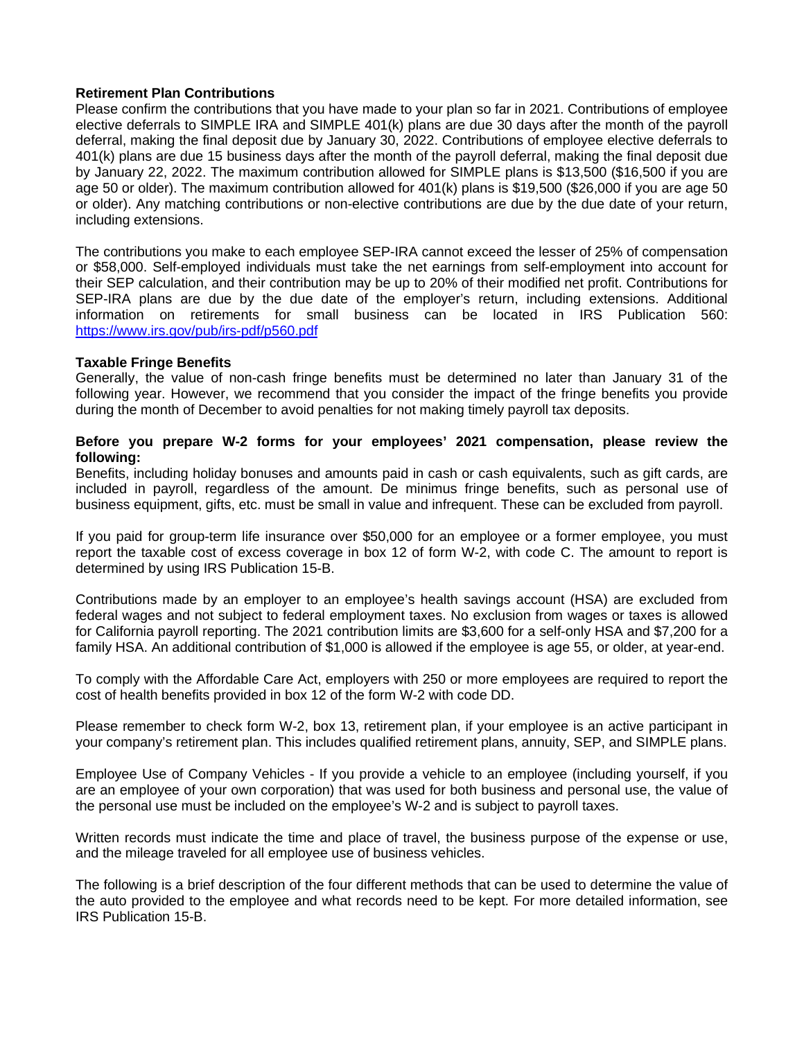## **Retirement Plan Contributions**

Please confirm the contributions that you have made to your plan so far in 2021. Contributions of employee elective deferrals to SIMPLE IRA and SIMPLE 401(k) plans are due 30 days after the month of the payroll deferral, making the final deposit due by January 30, 2022. Contributions of employee elective deferrals to 401(k) plans are due 15 business days after the month of the payroll deferral, making the final deposit due by January 22, 2022. The maximum contribution allowed for SIMPLE plans is \$13,500 (\$16,500 if you are age 50 or older). The maximum contribution allowed for 401(k) plans is \$19,500 (\$26,000 if you are age 50 or older). Any matching contributions or non-elective contributions are due by the due date of your return, including extensions.

The contributions you make to each employee SEP-IRA cannot exceed the lesser of 25% of compensation or \$58,000. Self-employed individuals must take the net earnings from self-employment into account for their SEP calculation, and their contribution may be up to 20% of their modified net profit. Contributions for SEP-IRA plans are due by the due date of the employer's return, including extensions. Additional information on retirements for small business can be located in IRS Publication 560: <https://www.irs.gov/pub/irs-pdf/p560.pdf>

## **Taxable Fringe Benefits**

Generally, the value of non-cash fringe benefits must be determined no later than January 31 of the following year. However, we recommend that you consider the impact of the fringe benefits you provide during the month of December to avoid penalties for not making timely payroll tax deposits.

## **Before you prepare W-2 forms for your employees' 2021 compensation, please review the following:**

Benefits, including holiday bonuses and amounts paid in cash or cash equivalents, such as gift cards, are included in payroll, regardless of the amount. De minimus fringe benefits, such as personal use of business equipment, gifts, etc. must be small in value and infrequent. These can be excluded from payroll.

If you paid for group-term life insurance over \$50,000 for an employee or a former employee, you must report the taxable cost of excess coverage in box 12 of form W-2, with code C. The amount to report is determined by using IRS Publication 15-B.

Contributions made by an employer to an employee's health savings account (HSA) are excluded from federal wages and not subject to federal employment taxes. No exclusion from wages or taxes is allowed for California payroll reporting. The 2021 contribution limits are \$3,600 for a self-only HSA and \$7,200 for a family HSA. An additional contribution of \$1,000 is allowed if the employee is age 55, or older, at year-end.

To comply with the Affordable Care Act, employers with 250 or more employees are required to report the cost of health benefits provided in box 12 of the form W-2 with code DD.

Please remember to check form W-2, box 13, retirement plan, if your employee is an active participant in your company's retirement plan. This includes qualified retirement plans, annuity, SEP, and SIMPLE plans.

Employee Use of Company Vehicles - If you provide a vehicle to an employee (including yourself, if you are an employee of your own corporation) that was used for both business and personal use, the value of the personal use must be included on the employee's W-2 and is subject to payroll taxes.

Written records must indicate the time and place of travel, the business purpose of the expense or use, and the mileage traveled for all employee use of business vehicles.

The following is a brief description of the four different methods that can be used to determine the value of the auto provided to the employee and what records need to be kept. For more detailed information, see IRS Publication 15-B.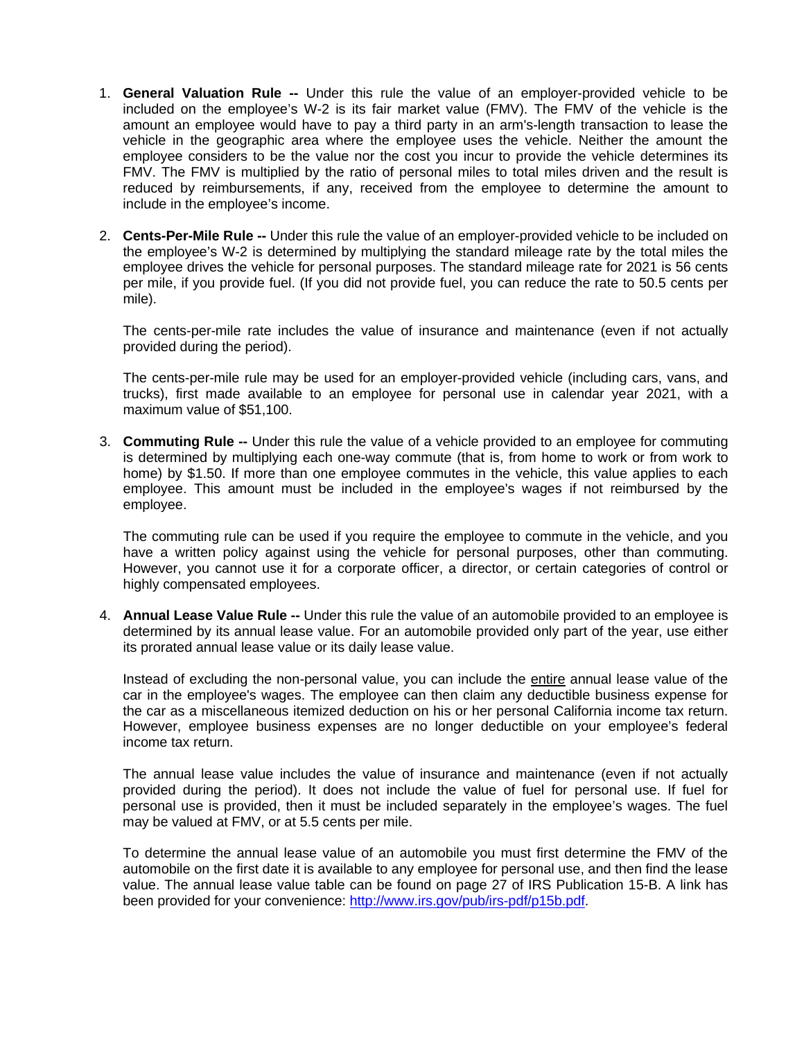- 1. **General Valuation Rule --** Under this rule the value of an employer-provided vehicle to be included on the employee's W-2 is its fair market value (FMV). The FMV of the vehicle is the amount an employee would have to pay a third party in an arm's-length transaction to lease the vehicle in the geographic area where the employee uses the vehicle. Neither the amount the employee considers to be the value nor the cost you incur to provide the vehicle determines its FMV. The FMV is multiplied by the ratio of personal miles to total miles driven and the result is reduced by reimbursements, if any, received from the employee to determine the amount to include in the employee's income.
- 2. **Cents-Per-Mile Rule --** Under this rule the value of an employer-provided vehicle to be included on the employee's W-2 is determined by multiplying the standard mileage rate by the total miles the employee drives the vehicle for personal purposes. The standard mileage rate for 2021 is 56 cents per mile, if you provide fuel. (If you did not provide fuel, you can reduce the rate to 50.5 cents per mile).

The cents-per-mile rate includes the value of insurance and maintenance (even if not actually provided during the period).

The cents-per-mile rule may be used for an employer-provided vehicle (including cars, vans, and trucks), first made available to an employee for personal use in calendar year 2021, with a maximum value of \$51,100.

3. **Commuting Rule --** Under this rule the value of a vehicle provided to an employee for commuting is determined by multiplying each one-way commute (that is, from home to work or from work to home) by \$1.50. If more than one employee commutes in the vehicle, this value applies to each employee. This amount must be included in the employee's wages if not reimbursed by the employee.

The commuting rule can be used if you require the employee to commute in the vehicle, and you have a written policy against using the vehicle for personal purposes, other than commuting. However, you cannot use it for a corporate officer, a director, or certain categories of control or highly compensated employees.

4. **Annual Lease Value Rule --** Under this rule the value of an automobile provided to an employee is determined by its annual lease value. For an automobile provided only part of the year, use either its prorated annual lease value or its daily lease value.

Instead of excluding the non-personal value, you can include the entire annual lease value of the car in the employee's wages. The employee can then claim any deductible business expense for the car as a miscellaneous itemized deduction on his or her personal California income tax return. However, employee business expenses are no longer deductible on your employee's federal income tax return.

The annual lease value includes the value of insurance and maintenance (even if not actually provided during the period). It does not include the value of fuel for personal use. If fuel for personal use is provided, then it must be included separately in the employee's wages. The fuel may be valued at FMV, or at 5.5 cents per mile.

To determine the annual lease value of an automobile you must first determine the FMV of the automobile on the first date it is available to any employee for personal use, and then find the lease value. The annual lease value table can be found on page 27 of IRS Publication 15-B. A link has been provided for your convenience: [http://www.irs.gov/pub/irs-pdf/p15b.pdf.](http://www.irs.gov/pub/irs-pdf/p15b.pdf)